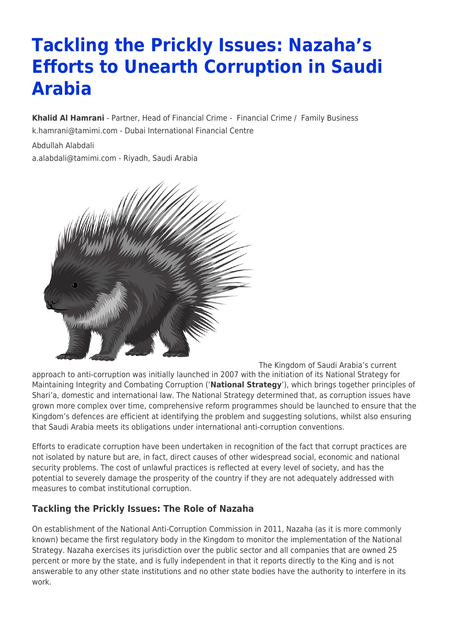# **Tackling the Prickly Issues: Nazaha's Efforts to Unearth Corruption in Saudi Arabia**

**[Khalid Al Hamrani](https://www.tamimi.com/find-a-lawyer/khalid-al-hamrani/)** - Partner, Head of Financial Crime - [Financial Crime](https://www.tamimi.com/client-services/practices/financial-crime/) / [Family Business](https://www.tamimi.com/client-services/practices/family-business/) [k.hamrani@tamimi.com](mailto:k.hamrani@tamimi.com) - [Dubai International Financial Centre](https://www.tamimi.com/locations/uae/)

Abdullah Alabdali [a.alabdali@tamimi.com](mailto:a.alabdali@tamimi.com) - Riyadh, Saudi Arabia



The Kingdom of Saudi Arabia's current approach to anti-corruption was initially launched in 2007 with the initiation of its National Strategy for Maintaining Integrity and Combating Corruption ('**National Strategy**'), which brings together principles of Shari'a, domestic and international law. The National Strategy determined that, as corruption issues have grown more complex over time, comprehensive reform programmes should be launched to ensure that the Kingdom's defences are efficient at identifying the problem and suggesting solutions, whilst also ensuring that Saudi Arabia meets its obligations under international anti-corruption conventions.

Efforts to eradicate corruption have been undertaken in recognition of the fact that corrupt practices are not isolated by nature but are, in fact, direct causes of other widespread social, economic and national security problems. The cost of unlawful practices is reflected at every level of society, and has the potential to severely damage the prosperity of the country if they are not adequately addressed with measures to combat institutional corruption.

### **Tackling the Prickly Issues: The Role of Nazaha**

On establishment of the National Anti-Corruption Commission in 2011, Nazaha (as it is more commonly known) became the first regulatory body in the Kingdom to monitor the implementation of the National Strategy. Nazaha exercises its jurisdiction over the public sector and all companies that are owned 25 percent or more by the state, and is fully independent in that it reports directly to the King and is not answerable to any other state institutions and no other state bodies have the authority to interfere in its work.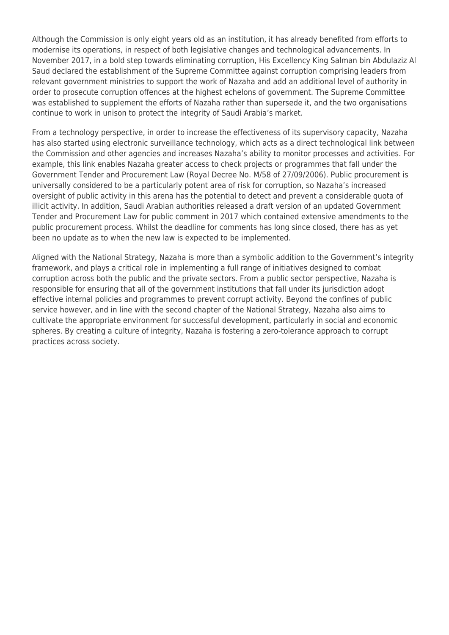Although the Commission is only eight years old as an institution, it has already benefited from efforts to modernise its operations, in respect of both legislative changes and technological advancements. In November 2017, in a bold step towards eliminating corruption, His Excellency King Salman bin Abdulaziz Al Saud declared the establishment of the Supreme Committee against corruption comprising leaders from relevant government ministries to support the work of Nazaha and add an additional level of authority in order to prosecute corruption offences at the highest echelons of government. The Supreme Committee was established to supplement the efforts of Nazaha rather than supersede it, and the two organisations continue to work in unison to protect the integrity of Saudi Arabia's market.

From a technology perspective, in order to increase the effectiveness of its supervisory capacity, Nazaha has also started using electronic surveillance technology, which acts as a direct technological link between the Commission and other agencies and increases Nazaha's ability to monitor processes and activities. For example, this link enables Nazaha greater access to check projects or programmes that fall under the Government Tender and Procurement Law (Royal Decree No. M/58 of 27/09/2006). Public procurement is universally considered to be a particularly potent area of risk for corruption, so Nazaha's increased oversight of public activity in this arena has the potential to detect and prevent a considerable quota of illicit activity. In addition, Saudi Arabian authorities released a draft version of an updated Government Tender and Procurement Law for public comment in 2017 which contained extensive amendments to the public procurement process. Whilst the deadline for comments has long since closed, there has as yet been no update as to when the new law is expected to be implemented.

Aligned with the National Strategy, Nazaha is more than a symbolic addition to the Government's integrity framework, and plays a critical role in implementing a full range of initiatives designed to combat corruption across both the public and the private sectors. From a public sector perspective, Nazaha is responsible for ensuring that all of the government institutions that fall under its jurisdiction adopt effective internal policies and programmes to prevent corrupt activity. Beyond the confines of public service however, and in line with the second chapter of the National Strategy, Nazaha also aims to cultivate the appropriate environment for successful development, particularly in social and economic spheres. By creating a culture of integrity, Nazaha is fostering a zero-tolerance approach to corrupt practices across society.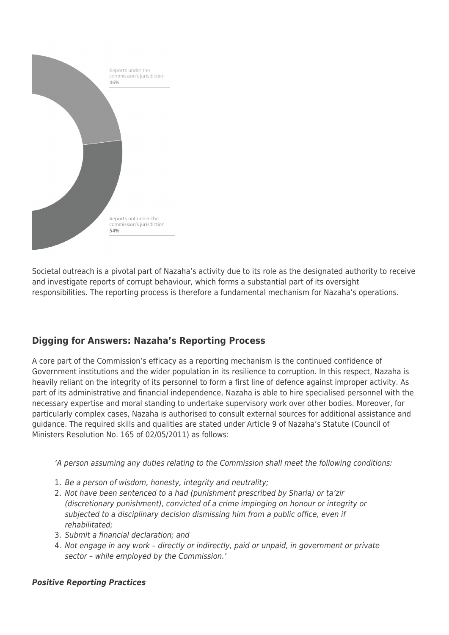

Societal outreach is a pivotal part of Nazaha's activity due to its role as the designated authority to receive and investigate reports of corrupt behaviour, which forms a substantial part of its oversight responsibilities. The reporting process is therefore a fundamental mechanism for Nazaha's operations.

## **Digging for Answers: Nazaha's Reporting Process**

A core part of the Commission's efficacy as a reporting mechanism is the continued confidence of Government institutions and the wider population in its resilience to corruption. In this respect, Nazaha is heavily reliant on the integrity of its personnel to form a first line of defence against improper activity. As part of its administrative and financial independence, Nazaha is able to hire specialised personnel with the necessary expertise and moral standing to undertake supervisory work over other bodies. Moreover, for particularly complex cases, Nazaha is authorised to consult external sources for additional assistance and guidance. The required skills and qualities are stated under Article 9 of Nazaha's Statute (Council of Ministers Resolution No. 165 of 02/05/2011) as follows:

'A person assuming any duties relating to the Commission shall meet the following conditions:

- 1. Be a person of wisdom, honesty, integrity and neutrality;
- 2. Not have been sentenced to a had (punishment prescribed by Sharia) or ta'zir (discretionary punishment), convicted of a crime impinging on honour or integrity or subjected to a disciplinary decision dismissing him from a public office, even if rehabilitated;
- 3. Submit a financial declaration; and
- 4. Not engage in any work directly or indirectly, paid or unpaid, in government or private sector – while employed by the Commission.'

#### *Positive Reporting Practices*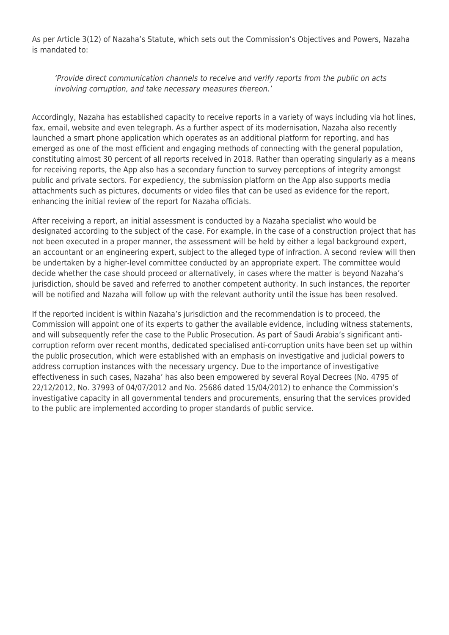As per Article 3(12) of Nazaha's Statute, which sets out the Commission's Objectives and Powers, Nazaha is mandated to:

'Provide direct communication channels to receive and verify reports from the public on acts involving corruption, and take necessary measures thereon.'

Accordingly, Nazaha has established capacity to receive reports in a variety of ways including via hot lines, fax, email, website and even telegraph. As a further aspect of its modernisation, Nazaha also recently launched a smart phone application which operates as an additional platform for reporting, and has emerged as one of the most efficient and engaging methods of connecting with the general population, constituting almost 30 percent of all reports received in 2018. Rather than operating singularly as a means for receiving reports, the App also has a secondary function to survey perceptions of integrity amongst public and private sectors. For expediency, the submission platform on the App also supports media attachments such as pictures, documents or video files that can be used as evidence for the report, enhancing the initial review of the report for Nazaha officials.

After receiving a report, an initial assessment is conducted by a Nazaha specialist who would be designated according to the subject of the case. For example, in the case of a construction project that has not been executed in a proper manner, the assessment will be held by either a legal background expert, an accountant or an engineering expert, subject to the alleged type of infraction. A second review will then be undertaken by a higher-level committee conducted by an appropriate expert. The committee would decide whether the case should proceed or alternatively, in cases where the matter is beyond Nazaha's jurisdiction, should be saved and referred to another competent authority. In such instances, the reporter will be notified and Nazaha will follow up with the relevant authority until the issue has been resolved.

If the reported incident is within Nazaha's jurisdiction and the recommendation is to proceed, the Commission will appoint one of its experts to gather the available evidence, including witness statements, and will subsequently refer the case to the Public Prosecution. As part of Saudi Arabia's significant anticorruption reform over recent months, dedicated specialised anti-corruption units have been set up within the public prosecution, which were established with an emphasis on investigative and judicial powers to address corruption instances with the necessary urgency. Due to the importance of investigative effectiveness in such cases, Nazaha' has also been empowered by several Royal Decrees (No. 4795 of 22/12/2012, No. 37993 of 04/07/2012 and No. 25686 dated 15/04/2012) to enhance the Commission's investigative capacity in all governmental tenders and procurements, ensuring that the services provided to the public are implemented according to proper standards of public service.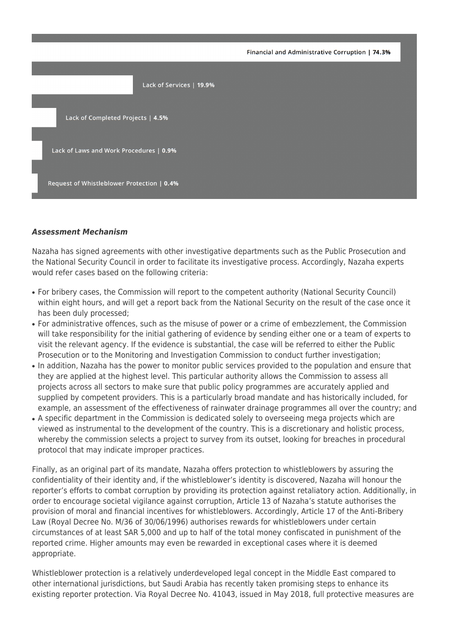Financial and Administrative Corruption | 74.3%



#### *Assessment Mechanism*

Nazaha has signed agreements with other investigative departments such as the Public Prosecution and the National Security Council in order to facilitate its investigative process. Accordingly, Nazaha experts would refer cases based on the following criteria:

- For bribery cases, the Commission will report to the competent authority (National Security Council) within eight hours, and will get a report back from the National Security on the result of the case once it has been duly processed;
- For administrative offences, such as the misuse of power or a crime of embezzlement, the Commission will take responsibility for the initial gathering of evidence by sending either one or a team of experts to visit the relevant agency. If the evidence is substantial, the case will be referred to either the Public Prosecution or to the Monitoring and Investigation Commission to conduct further investigation;
- In addition, Nazaha has the power to monitor public services provided to the population and ensure that they are applied at the highest level. This particular authority allows the Commission to assess all projects across all sectors to make sure that public policy programmes are accurately applied and supplied by competent providers. This is a particularly broad mandate and has historically included, for example, an assessment of the effectiveness of rainwater drainage programmes all over the country; and
- A specific department in the Commission is dedicated solely to overseeing mega projects which are viewed as instrumental to the development of the country. This is a discretionary and holistic process, whereby the commission selects a project to survey from its outset, looking for breaches in procedural protocol that may indicate improper practices.

Finally, as an original part of its mandate, Nazaha offers protection to whistleblowers by assuring the confidentiality of their identity and, if the whistleblower's identity is discovered, Nazaha will honour the reporter's efforts to combat corruption by providing its protection against retaliatory action. Additionally, in order to encourage societal vigilance against corruption, Article 13 of Nazaha's statute authorises the provision of moral and financial incentives for whistleblowers. Accordingly, Article 17 of the Anti-Bribery Law (Royal Decree No. M/36 of 30/06/1996) authorises rewards for whistleblowers under certain circumstances of at least SAR 5,000 and up to half of the total money confiscated in punishment of the reported crime. Higher amounts may even be rewarded in exceptional cases where it is deemed appropriate.

Whistleblower protection is a relatively underdeveloped legal concept in the Middle East compared to other international jurisdictions, but Saudi Arabia has recently taken promising steps to enhance its existing reporter protection. Via Royal Decree No. 41043, issued in May 2018, full protective measures are